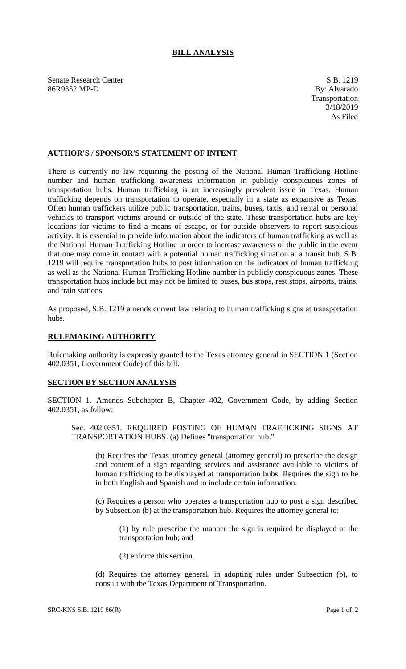## **BILL ANALYSIS**

Senate Research Center S.B. 1219 86R9352 MP-D By: Alvarado

## **AUTHOR'S / SPONSOR'S STATEMENT OF INTENT**

There is currently no law requiring the posting of the National Human Trafficking Hotline number and human trafficking awareness information in publicly conspicuous zones of transportation hubs. Human trafficking is an increasingly prevalent issue in Texas. Human trafficking depends on transportation to operate, especially in a state as expansive as Texas. Often human traffickers utilize public transportation, trains, buses, taxis, and rental or personal vehicles to transport victims around or outside of the state. These transportation hubs are key locations for victims to find a means of escape, or for outside observers to report suspicious activity. It is essential to provide information about the indicators of human trafficking as well as the National Human Trafficking Hotline in order to increase awareness of the public in the event that one may come in contact with a potential human trafficking situation at a transit hub. S.B. 1219 will require transportation hubs to post information on the indicators of human trafficking as well as the National Human Trafficking Hotline number in publicly conspicuous zones. These transportation hubs include but may not be limited to buses, bus stops, rest stops, airports, trains, and train stations.

As proposed, S.B. 1219 amends current law relating to human trafficking signs at transportation hubs.

## **RULEMAKING AUTHORITY**

Rulemaking authority is expressly granted to the Texas attorney general in SECTION 1 (Section 402.0351, Government Code) of this bill.

## **SECTION BY SECTION ANALYSIS**

SECTION 1. Amends Subchapter B, Chapter 402, Government Code, by adding Section 402.0351, as follow:

Sec. 402.0351. REQUIRED POSTING OF HUMAN TRAFFICKING SIGNS AT TRANSPORTATION HUBS. (a) Defines "transportation hub."

(b) Requires the Texas attorney general (attorney general) to prescribe the design and content of a sign regarding services and assistance available to victims of human trafficking to be displayed at transportation hubs. Requires the sign to be in both English and Spanish and to include certain information.

(c) Requires a person who operates a transportation hub to post a sign described by Subsection (b) at the transportation hub. Requires the attorney general to:

(1) by rule prescribe the manner the sign is required be displayed at the transportation hub; and

(2) enforce this section.

(d) Requires the attorney general, in adopting rules under Subsection (b), to consult with the Texas Department of Transportation.